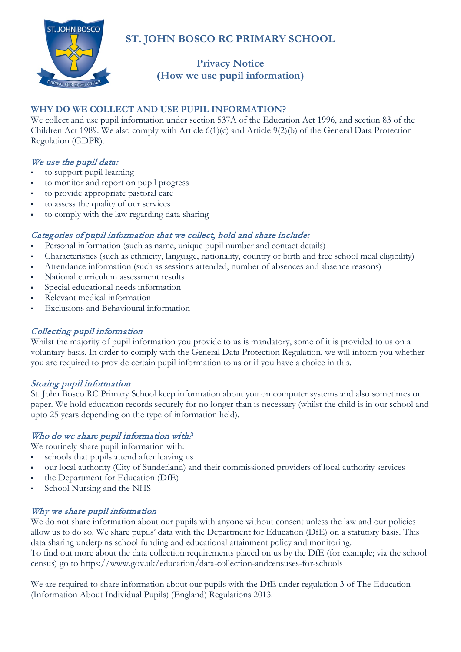

## **ST. JOHN BOSCO RC PRIMARY SCHOOL**

# **Privacy Notice (How we use pupil information)**

## **WHY DO WE COLLECT AND USE PUPIL INFORMATION?**

We collect and use pupil information under section 537A of the Education Act 1996, and section 83 of the Children Act 1989. We also comply with Article 6(1)(c) and Article 9(2)(b) of the General Data Protection Regulation (GDPR).

### We use the pupil data:

- to support pupil learning
- to monitor and report on pupil progress
- to provide appropriate pastoral care
- to assess the quality of our services
- to comply with the law regarding data sharing

### Categories of pupil information that we collect, hold and share include:

- Personal information (such as name, unique pupil number and contact details)
- Characteristics (such as ethnicity, language, nationality, country of birth and free school meal eligibility)
- Attendance information (such as sessions attended, number of absences and absence reasons)
- National curriculum assessment results
- Special educational needs information
- Relevant medical information
- Exclusions and Behavioural information

#### Collecting pupil information

Whilst the majority of pupil information you provide to us is mandatory, some of it is provided to us on a voluntary basis. In order to comply with the General Data Protection Regulation, we will inform you whether you are required to provide certain pupil information to us or if you have a choice in this.

#### Storing pupil information

St. John Bosco RC Primary School keep information about you on computer systems and also sometimes on paper. We hold education records securely for no longer than is necessary (whilst the child is in our school and upto 25 years depending on the type of information held).

#### Who do we share pupil information with?

We routinely share pupil information with:

- schools that pupils attend after leaving us
- our local authority (City of Sunderland) and their commissioned providers of local authority services
- the Department for Education (DfE)
- School Nursing and the NHS

#### Why we share pupil information

We do not share information about our pupils with anyone without consent unless the law and our policies allow us to do so. We share pupils' data with the Department for Education (DfE) on a statutory basis. This data sharing underpins school funding and educational attainment policy and monitoring.

To find out more about the data collection requirements placed on us by the DfE (for example; via the school census) go to<https://www.gov.uk/education/data-collection-andcensuses-for-schools>

We are required to share information about our pupils with the DfE under regulation 3 of The Education (Information About Individual Pupils) (England) Regulations 2013.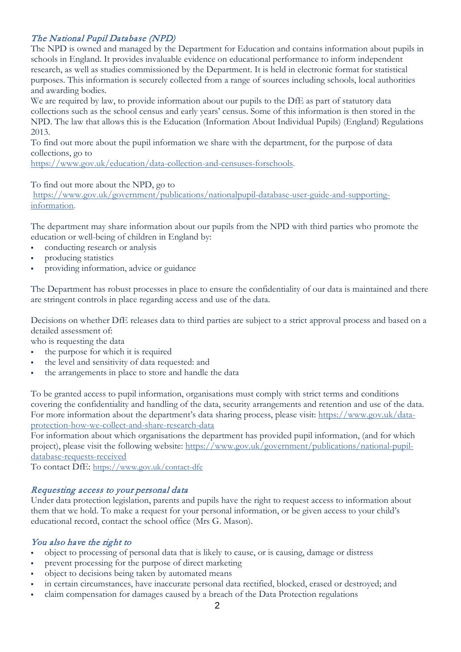## The National Pupil Database (NPD)

The NPD is owned and managed by the Department for Education and contains information about pupils in schools in England. It provides invaluable evidence on educational performance to inform independent research, as well as studies commissioned by the Department. It is held in electronic format for statistical purposes. This information is securely collected from a range of sources including schools, local authorities and awarding bodies.

We are required by law, to provide information about our pupils to the DfE as part of statutory data collections such as the school census and early years' census. Some of this information is then stored in the NPD. The law that allows this is the Education (Information About Individual Pupils) (England) Regulations 2013.

To find out more about the pupil information we share with the department, for the purpose of data collections, go to

[https://www.gov.uk/education/data-collection-and-censuses-forschools.](https://www.gov.uk/education/data-collection-and-censuses-forschools)

To find out more about the NPD, go to

[https://www.gov.uk/government/publications/nationalpupil-database-user-guide-and-supporting](https://www.gov.uk/government/publications/nationalpupil-database-user-guide-and-supporting-information)[information.](https://www.gov.uk/government/publications/nationalpupil-database-user-guide-and-supporting-information)

The department may share information about our pupils from the NPD with third parties who promote the education or well-being of children in England by:

- conducting research or analysis
- producing statistics
- providing information, advice or guidance

The Department has robust processes in place to ensure the confidentiality of our data is maintained and there are stringent controls in place regarding access and use of the data.

Decisions on whether DfE releases data to third parties are subject to a strict approval process and based on a detailed assessment of:

who is requesting the data

- the purpose for which it is required
- the level and sensitivity of data requested: and
- the arrangements in place to store and handle the data

To be granted access to pupil information, organisations must comply with strict terms and conditions covering the confidentiality and handling of the data, security arrangements and retention and use of the data. For more information about the department's data sharing process, please visit: [https://www.gov.uk/data](https://www.gov.uk/data-protection-how-we-collect-and-share-research-data)[protection-how-we-collect-and-share-research-data](https://www.gov.uk/data-protection-how-we-collect-and-share-research-data)

For information about which organisations the department has provided pupil information, (and for which project), please visit the following website: [https://www.gov.uk/government/publications/national-pupil](https://www.gov.uk/government/publications/national-pupil-database-requests-received)[database-requests-received](https://www.gov.uk/government/publications/national-pupil-database-requests-received)

To contact DfE:<https://www.gov.uk/contact-dfe>

#### Requesting access to your personal data

Under data protection legislation, parents and pupils have the right to request access to information about them that we hold. To make a request for your personal information, or be given access to your child's educational record, contact the school office (Mrs G. Mason).

#### You also have the right to

- object to processing of personal data that is likely to cause, or is causing, damage or distress
- prevent processing for the purpose of direct marketing
- object to decisions being taken by automated means
- in certain circumstances, have inaccurate personal data rectified, blocked, erased or destroyed; and
- claim compensation for damages caused by a breach of the Data Protection regulations